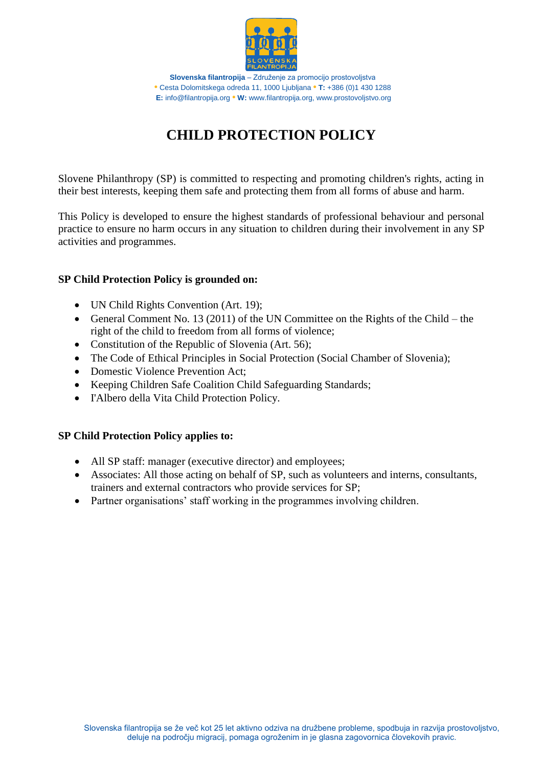

# **CHILD PROTECTION POLICY**

Slovene Philanthropy (SP) is committed to respecting and promoting children's rights, acting in their best interests, keeping them safe and protecting them from all forms of abuse and harm.

This Policy is developed to ensure the highest standards of professional behaviour and personal practice to ensure no harm occurs in any situation to children during their involvement in any SP activities and programmes.

## **SP Child Protection Policy is grounded on:**

- UN Child Rights Convention (Art. 19);
- General Comment No. 13 (2011) of the UN Committee on the Rights of the Child the right of the child to freedom from all forms of violence;
- Constitution of the Republic of Slovenia (Art. 56);
- The Code of Ethical Principles in Social Protection (Social Chamber of Slovenia);
- Domestic Violence Prevention Act:
- Keeping Children Safe Coalition Child Safeguarding Standards;
- I'Albero della Vita Child Protection Policy.

#### **SP Child Protection Policy applies to:**

- All SP staff: manager (executive director) and employees;
- Associates: All those acting on behalf of SP, such as volunteers and interns, consultants, trainers and external contractors who provide services for SP;
- Partner organisations' staff working in the programmes involving children.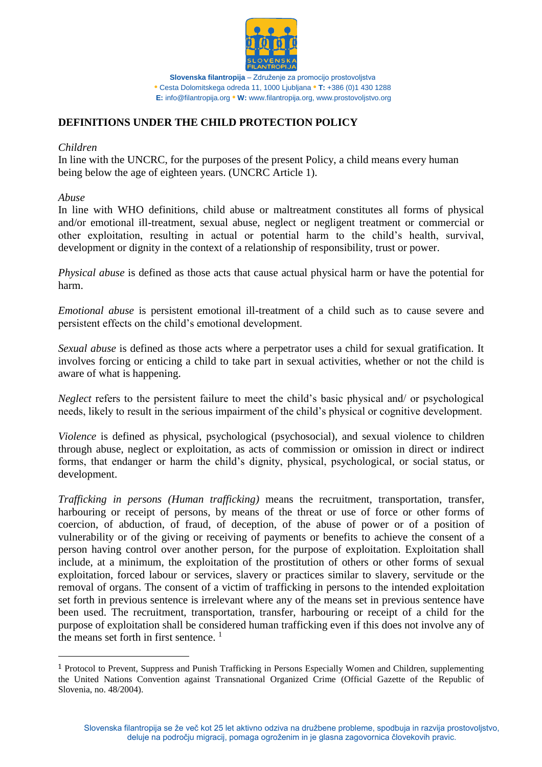

# **DEFINITIONS UNDER THE CHILD PROTECTION POLICY**

#### *Children*

In line with the UNCRC, for the purposes of the present Policy, a child means every human being below the age of eighteen years. (UNCRC Article 1).

*Abuse* 

 $\overline{\phantom{a}}$ 

In line with WHO definitions, child abuse or maltreatment constitutes all forms of physical and/or emotional ill-treatment, sexual abuse, neglect or negligent treatment or commercial or other exploitation, resulting in actual or potential harm to the child's health, survival, development or dignity in the context of a relationship of responsibility, trust or power.

*Physical abuse* is defined as those acts that cause actual physical harm or have the potential for harm.

*Emotional abuse* is persistent emotional ill-treatment of a child such as to cause severe and persistent effects on the child's emotional development.

*Sexual abuse* is defined as those acts where a perpetrator uses a child for sexual gratification. It involves forcing or enticing a child to take part in sexual activities, whether or not the child is aware of what is happening.

*Neglect* refers to the persistent failure to meet the child's basic physical and/ or psychological needs, likely to result in the serious impairment of the child's physical or cognitive development.

*Violence* is defined as physical, psychological (psychosocial), and sexual violence to children through abuse, neglect or exploitation, as acts of commission or omission in direct or indirect forms, that endanger or harm the child's dignity, physical, psychological, or social status, or development.

*Trafficking in persons (Human trafficking)* means the recruitment, transportation, transfer, harbouring or receipt of persons, by means of the threat or use of force or other forms of coercion, of abduction, of fraud, of deception, of the abuse of power or of a position of vulnerability or of the giving or receiving of payments or benefits to achieve the consent of a person having control over another person, for the purpose of exploitation. Exploitation shall include, at a minimum, the exploitation of the prostitution of others or other forms of sexual exploitation, forced labour or services, slavery or practices similar to slavery, servitude or the removal of organs. The consent of a victim of trafficking in persons to the intended exploitation set forth in previous sentence is irrelevant where any of the means set in previous sentence have been used. The recruitment, transportation, transfer, harbouring or receipt of a child for the purpose of exploitation shall be considered human trafficking even if this does not involve any of the means set forth in first sentence.<sup>1</sup>

<sup>1</sup> Protocol to Prevent, Suppress and Punish Trafficking in Persons Especially Women and Children, supplementing the United Nations Convention against Transnational Organized Crime (Official Gazette of the Republic of Slovenia, no. 48/2004).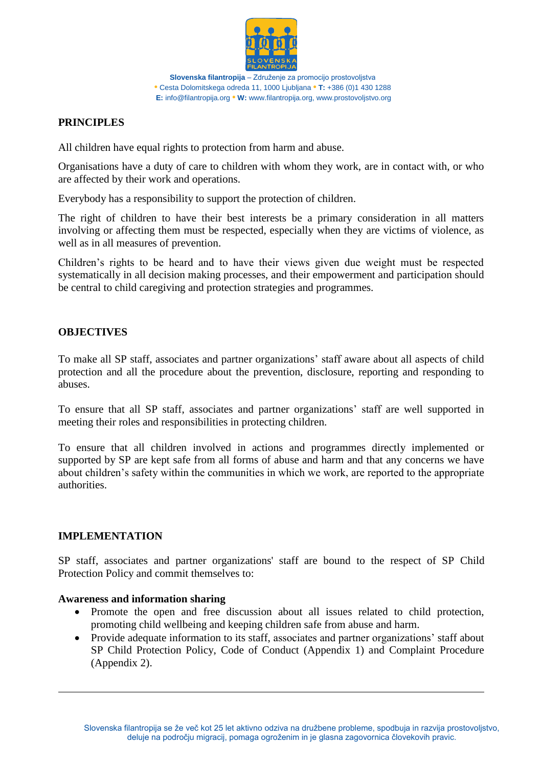

## **PRINCIPLES**

All children have equal rights to protection from harm and abuse.

Organisations have a duty of care to children with whom they work, are in contact with, or who are affected by their work and operations.

Everybody has a responsibility to support the protection of children.

The right of children to have their best interests be a primary consideration in all matters involving or affecting them must be respected, especially when they are victims of violence, as well as in all measures of prevention.

Children's rights to be heard and to have their views given due weight must be respected systematically in all decision making processes, and their empowerment and participation should be central to child caregiving and protection strategies and programmes.

## **OBJECTIVES**

To make all SP staff, associates and partner organizations' staff aware about all aspects of child protection and all the procedure about the prevention, disclosure, reporting and responding to abuses.

To ensure that all SP staff, associates and partner organizations' staff are well supported in meeting their roles and responsibilities in protecting children.

To ensure that all children involved in actions and programmes directly implemented or supported by SP are kept safe from all forms of abuse and harm and that any concerns we have about children's safety within the communities in which we work, are reported to the appropriate authorities.

## **IMPLEMENTATION**

 $\overline{\phantom{a}}$ 

SP staff, associates and partner organizations' staff are bound to the respect of SP Child Protection Policy and commit themselves to:

#### **Awareness and information sharing**

- Promote the open and free discussion about all issues related to child protection, promoting child wellbeing and keeping children safe from abuse and harm.
- Provide adequate information to its staff, associates and partner organizations' staff about SP Child Protection Policy, Code of Conduct (Appendix 1) and Complaint Procedure (Appendix 2).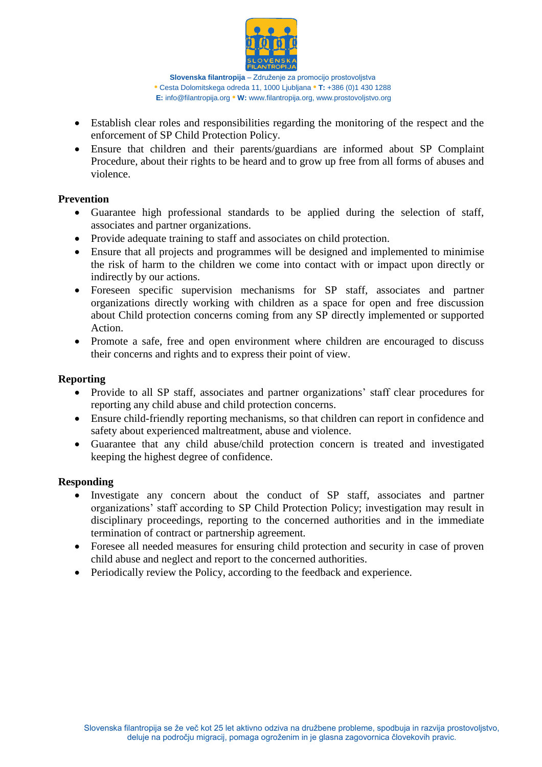

- Establish clear roles and responsibilities regarding the monitoring of the respect and the enforcement of SP Child Protection Policy.
- Ensure that children and their parents/guardians are informed about SP Complaint Procedure, about their rights to be heard and to grow up free from all forms of abuses and violence.

## **Prevention**

- Guarantee high professional standards to be applied during the selection of staff, associates and partner organizations.
- Provide adequate training to staff and associates on child protection.
- Ensure that all projects and programmes will be designed and implemented to minimise the risk of harm to the children we come into contact with or impact upon directly or indirectly by our actions.
- Foreseen specific supervision mechanisms for SP staff, associates and partner organizations directly working with children as a space for open and free discussion about Child protection concerns coming from any SP directly implemented or supported Action.
- Promote a safe, free and open environment where children are encouraged to discuss their concerns and rights and to express their point of view.

#### **Reporting**

- Provide to all SP staff, associates and partner organizations' staff clear procedures for reporting any child abuse and child protection concerns.
- Ensure child-friendly reporting mechanisms, so that children can report in confidence and safety about experienced maltreatment, abuse and violence.
- Guarantee that any child abuse/child protection concern is treated and investigated keeping the highest degree of confidence.

#### **Responding**

- Investigate any concern about the conduct of SP staff, associates and partner organizations' staff according to SP Child Protection Policy; investigation may result in disciplinary proceedings, reporting to the concerned authorities and in the immediate termination of contract or partnership agreement.
- Foresee all needed measures for ensuring child protection and security in case of proven child abuse and neglect and report to the concerned authorities.
- Periodically review the Policy, according to the feedback and experience.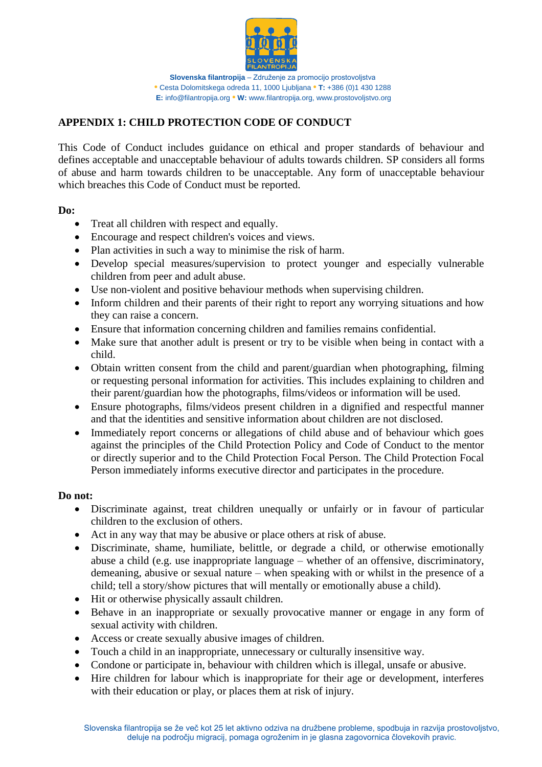

# **APPENDIX 1: CHILD PROTECTION CODE OF CONDUCT**

This Code of Conduct includes guidance on ethical and proper standards of behaviour and defines acceptable and unacceptable behaviour of adults towards children. SP considers all forms of abuse and harm towards children to be unacceptable. Any form of unacceptable behaviour which breaches this Code of Conduct must be reported.

#### **Do:**

- Treat all children with respect and equally.
- Encourage and respect children's voices and views.
- Plan activities in such a way to minimise the risk of harm.
- Develop special measures/supervision to protect younger and especially vulnerable children from peer and adult abuse.
- Use non-violent and positive behaviour methods when supervising children.
- Inform children and their parents of their right to report any worrying situations and how they can raise a concern.
- Ensure that information concerning children and families remains confidential.
- Make sure that another adult is present or try to be visible when being in contact with a child.
- Obtain written consent from the child and parent/guardian when photographing, filming or requesting personal information for activities. This includes explaining to children and their parent/guardian how the photographs, films/videos or information will be used.
- Ensure photographs, films/videos present children in a dignified and respectful manner and that the identities and sensitive information about children are not disclosed.
- Immediately report concerns or allegations of child abuse and of behaviour which goes against the principles of the Child Protection Policy and Code of Conduct to the mentor or directly superior and to the Child Protection Focal Person. The Child Protection Focal Person immediately informs executive director and participates in the procedure.

## **Do not:**

- Discriminate against, treat children unequally or unfairly or in favour of particular children to the exclusion of others.
- Act in any way that may be abusive or place others at risk of abuse.
- Discriminate, shame, humiliate, belittle, or degrade a child, or otherwise emotionally abuse a child (e.g. use inappropriate language – whether of an offensive, discriminatory, demeaning, abusive or sexual nature – when speaking with or whilst in the presence of a child; tell a story/show pictures that will mentally or emotionally abuse a child).
- Hit or otherwise physically assault children.
- Behave in an inappropriate or sexually provocative manner or engage in any form of sexual activity with children.
- Access or create sexually abusive images of children.
- Touch a child in an inappropriate, unnecessary or culturally insensitive way.
- Condone or participate in, behaviour with children which is illegal, unsafe or abusive.
- Hire children for labour which is inappropriate for their age or development, interferes with their education or play, or places them at risk of injury.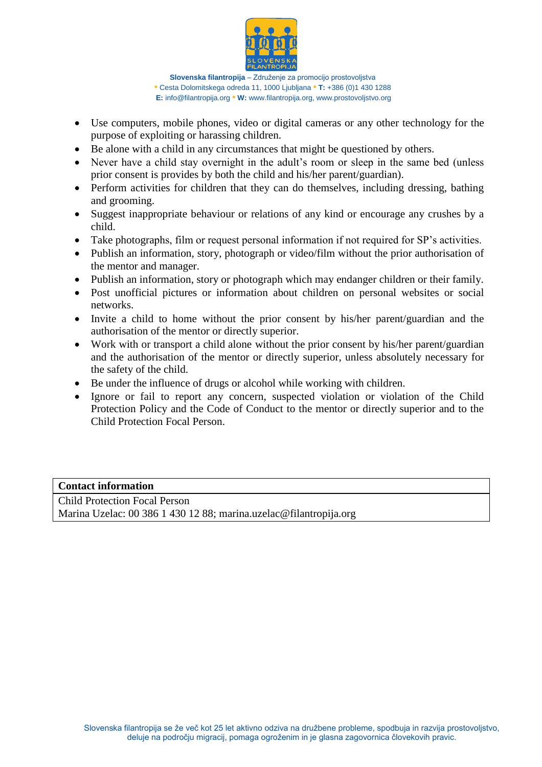

- Use computers, mobile phones, video or digital cameras or any other technology for the purpose of exploiting or harassing children.
- Be alone with a child in any circumstances that might be questioned by others.
- Never have a child stay overnight in the adult's room or sleep in the same bed (unless prior consent is provides by both the child and his/her parent/guardian).
- Perform activities for children that they can do themselves, including dressing, bathing and grooming.
- Suggest inappropriate behaviour or relations of any kind or encourage any crushes by a child.
- Take photographs, film or request personal information if not required for SP's activities.
- Publish an information, story, photograph or video/film without the prior authorisation of the mentor and manager.
- Publish an information, story or photograph which may endanger children or their family.
- Post unofficial pictures or information about children on personal websites or social networks.
- Invite a child to home without the prior consent by his/her parent/guardian and the authorisation of the mentor or directly superior.
- Work with or transport a child alone without the prior consent by his/her parent/guardian and the authorisation of the mentor or directly superior, unless absolutely necessary for the safety of the child.
- Be under the influence of drugs or alcohol while working with children.
- Ignore or fail to report any concern, suspected violation or violation of the Child Protection Policy and the Code of Conduct to the mentor or directly superior and to the Child Protection Focal Person.

#### **Contact information**

Child Protection Focal Person Marina Uzelac: 00 386 1 430 12 88; marina.uzelac@filantropija.org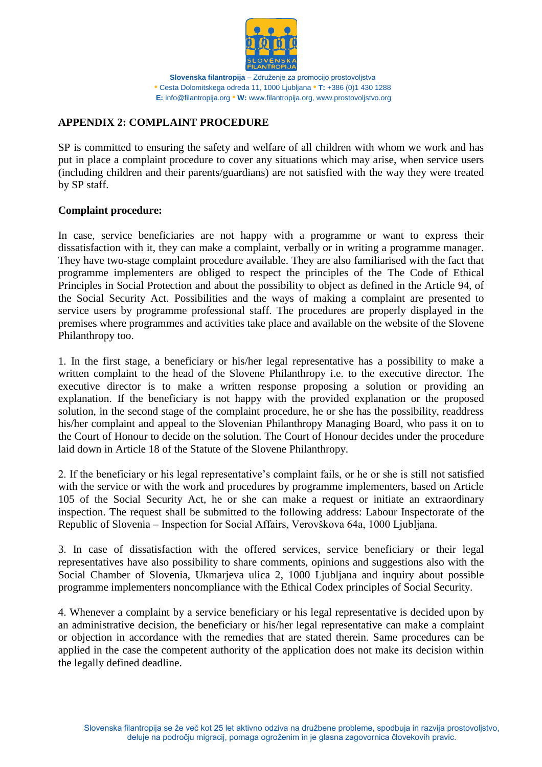

# **APPENDIX 2: COMPLAINT PROCEDURE**

SP is committed to ensuring the safety and welfare of all children with whom we work and has put in place a complaint procedure to cover any situations which may arise, when service users (including children and their parents/guardians) are not satisfied with the way they were treated by SP staff.

## **Complaint procedure:**

In case, service beneficiaries are not happy with a programme or want to express their dissatisfaction with it, they can make a complaint, verbally or in writing a programme manager. They have two-stage complaint procedure available. They are also familiarised with the fact that programme implementers are obliged to respect the principles of the The Code of Ethical Principles in Social Protection and about the possibility to object as defined in the Article 94, of the Social Security Act. Possibilities and the ways of making a complaint are presented to service users by programme professional staff. The procedures are properly displayed in the premises where programmes and activities take place and available on the website of the Slovene Philanthropy too.

1. In the first stage, a beneficiary or his/her legal representative has a possibility to make a written complaint to the head of the Slovene Philanthropy i.e. to the executive director. The executive director is to make a written response proposing a solution or providing an explanation. If the beneficiary is not happy with the provided explanation or the proposed solution, in the second stage of the complaint procedure, he or she has the possibility, readdress his/her complaint and appeal to the Slovenian Philanthropy Managing Board, who pass it on to the Court of Honour to decide on the solution. The Court of Honour decides under the procedure laid down in Article 18 of the Statute of the Slovene Philanthropy.

2. If the beneficiary or his legal representative's complaint fails, or he or she is still not satisfied with the service or with the work and procedures by programme implementers, based on Article 105 of the Social Security Act, he or she can make a request or initiate an extraordinary inspection. The request shall be submitted to the following address: Labour Inspectorate of the Republic of Slovenia – Inspection for Social Affairs, Verovškova 64a, 1000 Ljubljana.

3. In case of dissatisfaction with the offered services, service beneficiary or their legal representatives have also possibility to share comments, opinions and suggestions also with the Social Chamber of Slovenia, Ukmarjeva ulica 2, 1000 Ljubljana and inquiry about possible programme implementers noncompliance with the Ethical Codex principles of Social Security.

4. Whenever a complaint by a service beneficiary or his legal representative is decided upon by an administrative decision, the beneficiary or his/her legal representative can make a complaint or objection in accordance with the remedies that are stated therein. Same procedures can be applied in the case the competent authority of the application does not make its decision within the legally defined deadline.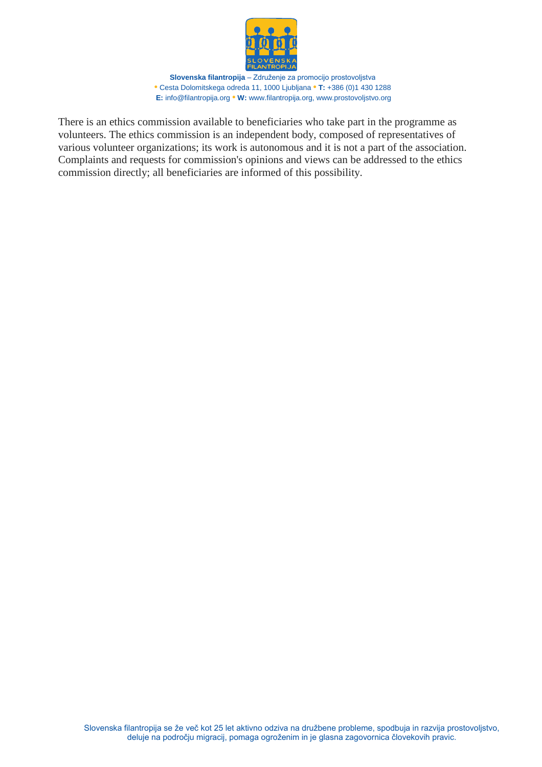

There is an ethics commission available to beneficiaries who take part in the programme as volunteers. The ethics commission is an independent body, composed of representatives of various volunteer organizations; its work is autonomous and it is not a part of the association. Complaints and requests for commission's opinions and views can be addressed to the ethics commission directly; all beneficiaries are informed of this possibility.